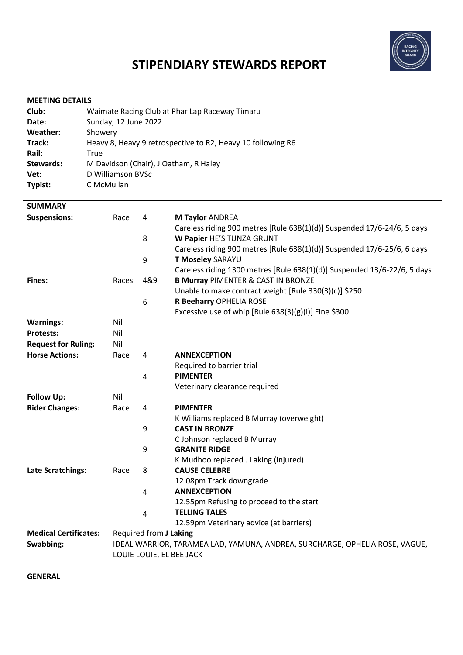

## **STIPENDIARY STEWARDS REPORT**

| <b>MEETING DETAILS</b> |                                                             |  |  |  |
|------------------------|-------------------------------------------------------------|--|--|--|
| Club:                  | Waimate Racing Club at Phar Lap Raceway Timaru              |  |  |  |
| Date:                  | Sunday, 12 June 2022                                        |  |  |  |
| Weather:               | Showery                                                     |  |  |  |
| Track:                 | Heavy 8, Heavy 9 retrospective to R2, Heavy 10 following R6 |  |  |  |
| Rail:                  | True                                                        |  |  |  |
| Stewards:              | M Davidson (Chair), J Oatham, R Haley                       |  |  |  |
| Vet:                   | D Williamson BVSc                                           |  |  |  |
| Typist:                | C McMullan                                                  |  |  |  |

| <b>SUMMARY</b>               |                                                                                                         |                |                                                                          |
|------------------------------|---------------------------------------------------------------------------------------------------------|----------------|--------------------------------------------------------------------------|
| <b>Suspensions:</b>          | Race                                                                                                    | 4              | M Taylor ANDREA                                                          |
|                              |                                                                                                         |                | Careless riding 900 metres [Rule 638(1)(d)] Suspended 17/6-24/6, 5 days  |
|                              |                                                                                                         | 8              | W Papier HE'S TUNZA GRUNT                                                |
|                              |                                                                                                         |                | Careless riding 900 metres [Rule 638(1)(d)] Suspended 17/6-25/6, 6 days  |
|                              |                                                                                                         | 9              | T Moseley SARAYU                                                         |
|                              |                                                                                                         |                | Careless riding 1300 metres [Rule 638(1)(d)] Suspended 13/6-22/6, 5 days |
| Fines:                       | Races                                                                                                   | 4&9            | <b>B Murray PIMENTER &amp; CAST IN BRONZE</b>                            |
|                              |                                                                                                         |                | Unable to make contract weight [Rule 330(3)(c)] \$250                    |
|                              |                                                                                                         | 6              | R Beeharry OPHELIA ROSE                                                  |
|                              |                                                                                                         |                | Excessive use of whip [Rule 638(3)(g)(i)] Fine \$300                     |
| <b>Warnings:</b>             | Nil                                                                                                     |                |                                                                          |
| <b>Protests:</b>             | Nil                                                                                                     |                |                                                                          |
| <b>Request for Ruling:</b>   | Nil                                                                                                     |                |                                                                          |
| <b>Horse Actions:</b>        | Race                                                                                                    | 4              | <b>ANNEXCEPTION</b>                                                      |
|                              |                                                                                                         |                | Required to barrier trial                                                |
|                              |                                                                                                         | 4              | <b>PIMENTER</b>                                                          |
|                              |                                                                                                         |                | Veterinary clearance required                                            |
| <b>Follow Up:</b>            | Nil                                                                                                     |                |                                                                          |
| <b>Rider Changes:</b>        | Race                                                                                                    | 4              | <b>PIMENTER</b>                                                          |
|                              |                                                                                                         |                | K Williams replaced B Murray (overweight)                                |
|                              |                                                                                                         | 9              | <b>CAST IN BRONZE</b>                                                    |
|                              |                                                                                                         |                | C Johnson replaced B Murray                                              |
|                              |                                                                                                         | 9              | <b>GRANITE RIDGE</b>                                                     |
|                              |                                                                                                         |                | K Mudhoo replaced J Laking (injured)                                     |
| Late Scratchings:            | Race                                                                                                    | 8              | <b>CAUSE CELEBRE</b>                                                     |
|                              |                                                                                                         |                | 12.08pm Track downgrade                                                  |
|                              |                                                                                                         | 4              | <b>ANNEXCEPTION</b>                                                      |
|                              |                                                                                                         |                | 12.55pm Refusing to proceed to the start<br><b>TELLING TALES</b>         |
|                              |                                                                                                         | $\overline{4}$ |                                                                          |
| <b>Medical Certificates:</b> |                                                                                                         |                | 12.59pm Veterinary advice (at barriers)                                  |
| Swabbing:                    | Required from J Laking                                                                                  |                |                                                                          |
|                              | IDEAL WARRIOR, TARAMEA LAD, YAMUNA, ANDREA, SURCHARGE, OPHELIA ROSE, VAGUE,<br>LOUIE LOUIE, EL BEE JACK |                |                                                                          |
|                              |                                                                                                         |                |                                                                          |

**GENERAL**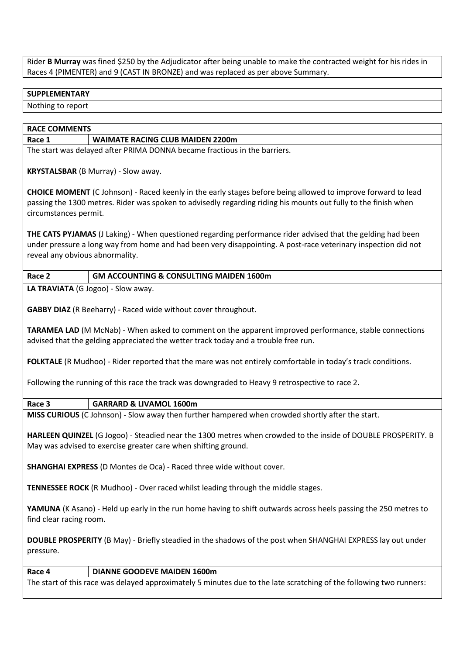Rider **B Murray** was fined \$250 by the Adjudicator after being unable to make the contracted weight for his rides in Races 4 (PIMENTER) and 9 (CAST IN BRONZE) and was replaced as per above Summary.

## **SUPPLEMENTARY**

Nothing to report

| <b>RACE COMMENTS</b>                                                                                                                                                                                                                                                    |                                                                                                  |  |  |  |
|-------------------------------------------------------------------------------------------------------------------------------------------------------------------------------------------------------------------------------------------------------------------------|--------------------------------------------------------------------------------------------------|--|--|--|
| Race 1                                                                                                                                                                                                                                                                  | <b>WAIMATE RACING CLUB MAIDEN 2200m</b>                                                          |  |  |  |
| The start was delayed after PRIMA DONNA became fractious in the barriers.                                                                                                                                                                                               |                                                                                                  |  |  |  |
| KRYSTALSBAR (B Murray) - Slow away.                                                                                                                                                                                                                                     |                                                                                                  |  |  |  |
| <b>CHOICE MOMENT</b> (C Johnson) - Raced keenly in the early stages before being allowed to improve forward to lead<br>passing the 1300 metres. Rider was spoken to advisedly regarding riding his mounts out fully to the finish when<br>circumstances permit.         |                                                                                                  |  |  |  |
| <b>THE CATS PYJAMAS</b> (J Laking) - When questioned regarding performance rider advised that the gelding had been<br>under pressure a long way from home and had been very disappointing. A post-race veterinary inspection did not<br>reveal any obvious abnormality. |                                                                                                  |  |  |  |
| Race 2                                                                                                                                                                                                                                                                  | <b>GM ACCOUNTING &amp; CONSULTING MAIDEN 1600m</b>                                               |  |  |  |
| LA TRAVIATA (G Jogoo) - Slow away.                                                                                                                                                                                                                                      |                                                                                                  |  |  |  |
| <b>GABBY DIAZ</b> (R Beeharry) - Raced wide without cover throughout.                                                                                                                                                                                                   |                                                                                                  |  |  |  |
| TARAMEA LAD (M McNab) - When asked to comment on the apparent improved performance, stable connections<br>advised that the gelding appreciated the wetter track today and a trouble free run.                                                                           |                                                                                                  |  |  |  |
| FOLKTALE (R Mudhoo) - Rider reported that the mare was not entirely comfortable in today's track conditions.                                                                                                                                                            |                                                                                                  |  |  |  |
| Following the running of this race the track was downgraded to Heavy 9 retrospective to race 2.                                                                                                                                                                         |                                                                                                  |  |  |  |
| Race 3                                                                                                                                                                                                                                                                  | <b>GARRARD &amp; LIVAMOL 1600m</b>                                                               |  |  |  |
|                                                                                                                                                                                                                                                                         | MISS CURIOUS (C Johnson) - Slow away then further hampered when crowded shortly after the start. |  |  |  |
| HARLEEN QUINZEL (G Jogoo) - Steadied near the 1300 metres when crowded to the inside of DOUBLE PROSPERITY. B<br>May was advised to exercise greater care when shifting ground.                                                                                          |                                                                                                  |  |  |  |
| SHANGHAI EXPRESS (D Montes de Oca) - Raced three wide without cover.                                                                                                                                                                                                    |                                                                                                  |  |  |  |
| TENNESSEE ROCK (R Mudhoo) - Over raced whilst leading through the middle stages.                                                                                                                                                                                        |                                                                                                  |  |  |  |
| YAMUNA (K Asano) - Held up early in the run home having to shift outwards across heels passing the 250 metres to<br>find clear racing room.                                                                                                                             |                                                                                                  |  |  |  |
| DOUBLE PROSPERITY (B May) - Briefly steadied in the shadows of the post when SHANGHAI EXPRESS lay out under<br>pressure.                                                                                                                                                |                                                                                                  |  |  |  |
| Race 4                                                                                                                                                                                                                                                                  | <b>DIANNE GOODEVE MAIDEN 1600m</b>                                                               |  |  |  |
| The start of this race was delayed approximately 5 minutes due to the late scratching of the following two runners:                                                                                                                                                     |                                                                                                  |  |  |  |
|                                                                                                                                                                                                                                                                         |                                                                                                  |  |  |  |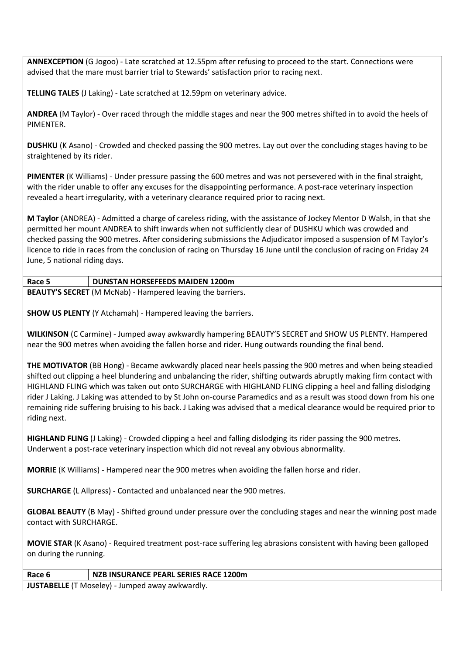**ANNEXCEPTION** (G Jogoo) - Late scratched at 12.55pm after refusing to proceed to the start. Connections were advised that the mare must barrier trial to Stewards' satisfaction prior to racing next.

**TELLING TALES** (J Laking) - Late scratched at 12.59pm on veterinary advice.

**ANDREA** (M Taylor) - Over raced through the middle stages and near the 900 metres shifted in to avoid the heels of PIMENTER.

**DUSHKU** (K Asano) - Crowded and checked passing the 900 metres. Lay out over the concluding stages having to be straightened by its rider.

**PIMENTER** (K Williams) - Under pressure passing the 600 metres and was not persevered with in the final straight, with the rider unable to offer any excuses for the disappointing performance. A post-race veterinary inspection revealed a heart irregularity, with a veterinary clearance required prior to racing next.

**M Taylor** (ANDREA) - Admitted a charge of careless riding, with the assistance of Jockey Mentor D Walsh, in that she permitted her mount ANDREA to shift inwards when not sufficiently clear of DUSHKU which was crowded and checked passing the 900 metres. After considering submissions the Adjudicator imposed a suspension of M Taylor's licence to ride in races from the conclusion of racing on Thursday 16 June until the conclusion of racing on Friday 24 June, 5 national riding days.

## **Race 5 DUNSTAN HORSEFEEDS MAIDEN 1200m**

**BEAUTY'S SECRET** (M McNab) - Hampered leaving the barriers.

**SHOW US PLENTY** (Y Atchamah) - Hampered leaving the barriers.

**WILKINSON** (C Carmine) - Jumped away awkwardly hampering BEAUTY'S SECRET and SHOW US PLENTY. Hampered near the 900 metres when avoiding the fallen horse and rider. Hung outwards rounding the final bend.

**THE MOTIVATOR** (BB Hong) - Became awkwardly placed near heels passing the 900 metres and when being steadied shifted out clipping a heel blundering and unbalancing the rider, shifting outwards abruptly making firm contact with HIGHLAND FLING which was taken out onto SURCHARGE with HIGHLAND FLING clipping a heel and falling dislodging rider J Laking. J Laking was attended to by St John on-course Paramedics and as a result was stood down from his one remaining ride suffering bruising to his back. J Laking was advised that a medical clearance would be required prior to riding next.

**HIGHLAND FLING** (J Laking) - Crowded clipping a heel and falling dislodging its rider passing the 900 metres. Underwent a post-race veterinary inspection which did not reveal any obvious abnormality.

**MORRIE** (K Williams) - Hampered near the 900 metres when avoiding the fallen horse and rider.

**SURCHARGE** (L Allpress) - Contacted and unbalanced near the 900 metres.

**GLOBAL BEAUTY** (B May) - Shifted ground under pressure over the concluding stages and near the winning post made contact with SURCHARGE.

**MOVIE STAR** (K Asano) - Required treatment post-race suffering leg abrasions consistent with having been galloped on during the running.

**Race 6 NZB INSURANCE PEARL SERIES RACE 1200m JUSTABELLE** (T Moseley) - Jumped away awkwardly.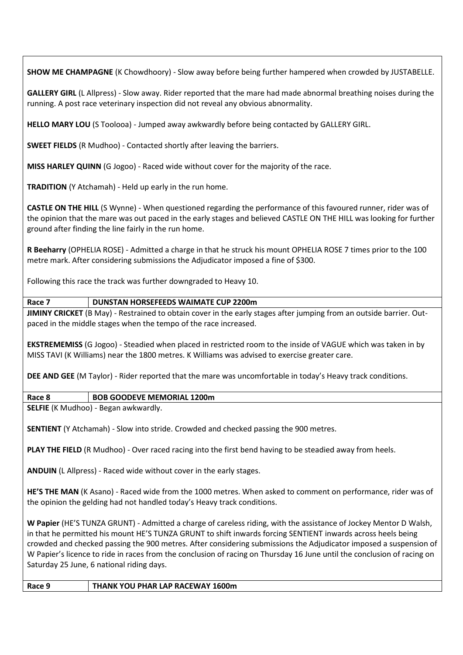**SHOW ME CHAMPAGNE** (K Chowdhoory) - Slow away before being further hampered when crowded by JUSTABELLE.

**GALLERY GIRL** (L Allpress) - Slow away. Rider reported that the mare had made abnormal breathing noises during the running. A post race veterinary inspection did not reveal any obvious abnormality.

**HELLO MARY LOU** (S Toolooa) - Jumped away awkwardly before being contacted by GALLERY GIRL.

**SWEET FIELDS** (R Mudhoo) - Contacted shortly after leaving the barriers.

**MISS HARLEY QUINN** (G Jogoo) - Raced wide without cover for the majority of the race.

**TRADITION** (Y Atchamah) - Held up early in the run home.

**CASTLE ON THE HILL** (S Wynne) - When questioned regarding the performance of this favoured runner, rider was of the opinion that the mare was out paced in the early stages and believed CASTLE ON THE HILL was looking for further ground after finding the line fairly in the run home.

**R Beeharry** (OPHELIA ROSE) - Admitted a charge in that he struck his mount OPHELIA ROSE 7 times prior to the 100 metre mark. After considering submissions the Adjudicator imposed a fine of \$300.

Following this race the track was further downgraded to Heavy 10.

## **Race 7 DUNSTAN HORSEFEEDS WAIMATE CUP 2200m**

**JIMINY CRICKET** (B May) - Restrained to obtain cover in the early stages after jumping from an outside barrier. Outpaced in the middle stages when the tempo of the race increased.

**EKSTREMEMISS** (G Jogoo) - Steadied when placed in restricted room to the inside of VAGUE which was taken in by MISS TAVI (K Williams) near the 1800 metres. K Williams was advised to exercise greater care.

**DEE AND GEE** (M Taylor) - Rider reported that the mare was uncomfortable in today's Heavy track conditions.

**Race 8 BOB GOODEVE MEMORIAL 1200m**

**SELFIE** (K Mudhoo) - Began awkwardly.

**SENTIENT** (Y Atchamah) - Slow into stride. Crowded and checked passing the 900 metres.

**PLAY THE FIELD** (R Mudhoo) - Over raced racing into the first bend having to be steadied away from heels.

**ANDUIN** (L Allpress) - Raced wide without cover in the early stages.

**HE'S THE MAN** (K Asano) - Raced wide from the 1000 metres. When asked to comment on performance, rider was of the opinion the gelding had not handled today's Heavy track conditions.

**W Papier** (HE'S TUNZA GRUNT) - Admitted a charge of careless riding, with the assistance of Jockey Mentor D Walsh, in that he permitted his mount HE'S TUNZA GRUNT to shift inwards forcing SENTIENT inwards across heels being crowded and checked passing the 900 metres. After considering submissions the Adjudicator imposed a suspension of W Papier's licence to ride in races from the conclusion of racing on Thursday 16 June until the conclusion of racing on Saturday 25 June, 6 national riding days.